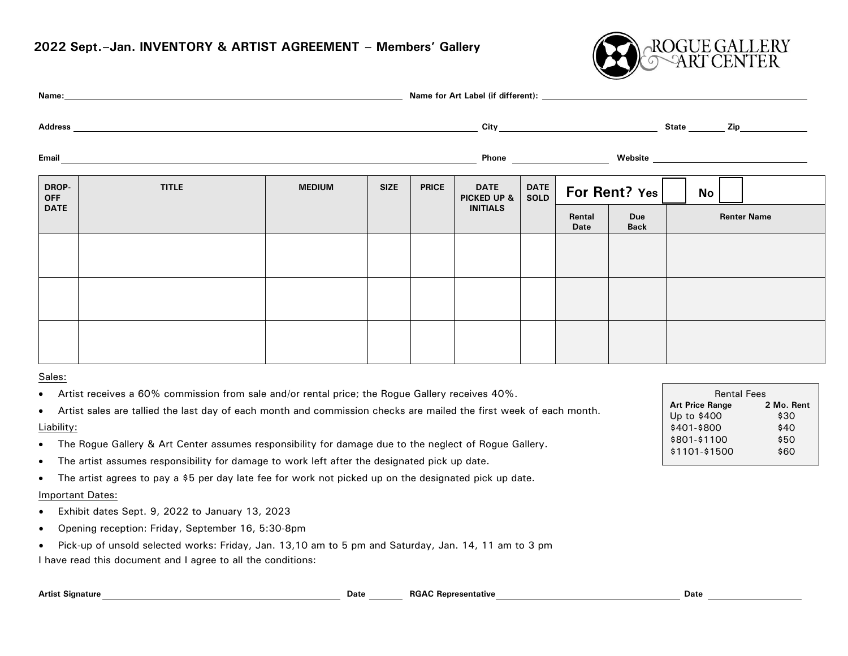### **2022 Sept.–Jan. INVENTORY & ARTIST AGREEMENT – Members' Gallery**



|                     |              |               |             |              |                            |              | City                                                                                                                                                                                                                                 |                           |    |                    |
|---------------------|--------------|---------------|-------------|--------------|----------------------------|--------------|--------------------------------------------------------------------------------------------------------------------------------------------------------------------------------------------------------------------------------------|---------------------------|----|--------------------|
| <b>Email</b>        |              |               |             |              |                            |              | Phone <u>superior and the set of the set of the set of the set of the set of the set of the set of the set of the set of the set of the set of the set of the set of the set of the set of the set of the set of the set of the </u> |                           |    |                    |
| DROP-<br><b>OFF</b> | <b>TITLE</b> | <b>MEDIUM</b> | <b>SIZE</b> | <b>PRICE</b> | <b>DATE</b><br>PICKED UP & | DATE<br>SOLD |                                                                                                                                                                                                                                      | For Rent? Yes             | No |                    |
| <b>DATE</b>         |              |               |             |              | <b>INITIALS</b>            |              | Rental<br>Date                                                                                                                                                                                                                       | <b>Due</b><br><b>Back</b> |    | <b>Renter Name</b> |
|                     |              |               |             |              |                            |              |                                                                                                                                                                                                                                      |                           |    |                    |
|                     |              |               |             |              |                            |              |                                                                                                                                                                                                                                      |                           |    |                    |
|                     |              |               |             |              |                            |              |                                                                                                                                                                                                                                      |                           |    |                    |
|                     |              |               |             |              |                            |              |                                                                                                                                                                                                                                      |                           |    |                    |
|                     |              |               |             |              |                            |              |                                                                                                                                                                                                                                      |                           |    |                    |

#### Sales:

- Artist receives a 60% commission from sale and/or rental price; the Rogue Gallery receives 40%.
- Artist sales are tallied the last day of each month and commission checks are mailed the first week of each month. Liability:
- The Rogue Gallery & Art Center assumes responsibility for damage due to the neglect of Rogue Gallery.
- The artist assumes responsibility for damage to work left after the designated pick up date.
- The artist agrees to pay a \$5 per day late fee for work not picked up on the designated pick up date.

#### Important Dates:

- Exhibit dates Sept. 9, 2022 to January 13, 2023
- Opening reception: Friday, September 16, 5:30-8pm
- Pick-up of unsold selected works: Friday, Jan. 13,10 am to 5 pm and Saturday, Jan. 14, 11 am to 3 pm

I have read this document and I agree to all the conditions:

| <b>Rental Fees</b>     |            |  |  |  |  |
|------------------------|------------|--|--|--|--|
| <b>Art Price Range</b> | 2 Mo. Rent |  |  |  |  |
| Up to \$400            | \$30       |  |  |  |  |
| \$401-\$800            | \$40       |  |  |  |  |
| \$801-\$1100           | \$50       |  |  |  |  |
| \$1101-\$1500          | \$60       |  |  |  |  |